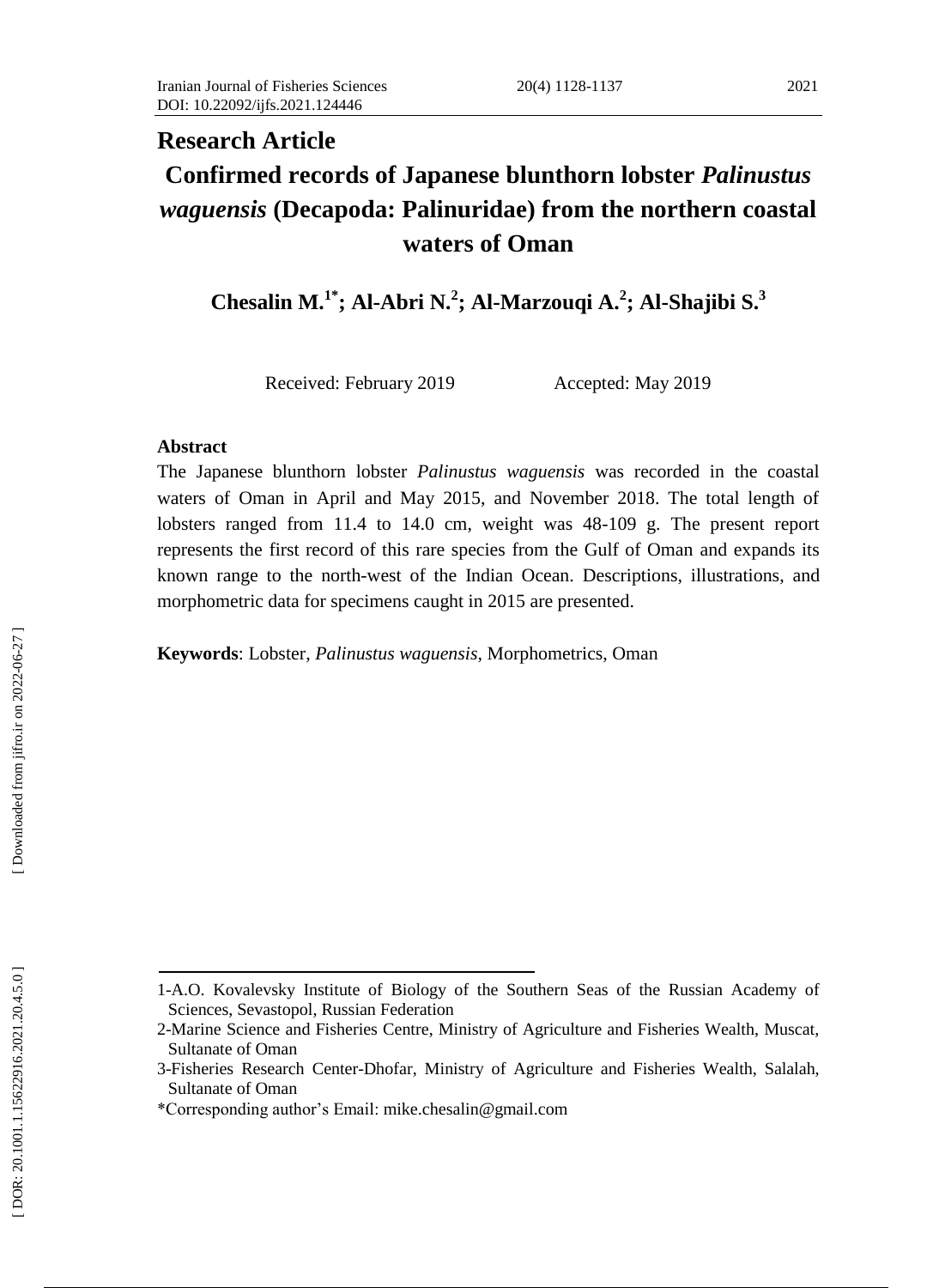# **Research Article Confirmed records of Japanese blunthorn lobster** *Palinustus waguensis* **(Decapoda: Palinuridae) from the northern coastal waters of Oman**

**Chesalin M.1\*; Al -Abri N. 2 ; Al -Marzouqi A. 2 ; Al -Shajibi S. 3**

Received: February 2019 Accepted: May 2019

#### **Abstract**

The Japanese blunthorn lobster *Palinustus waguensis* was recorded in the coastal waters of Oman in April and May 2015, and November 2018. The total length of lobsters ranged from 11.4 to 14.0 cm, weight was 48-109 g. The present report represents the first record of this rare species from the Gulf of Oman and expands its known range to the north -west of the Indian Ocean. Descriptions, illustrations, and morphometric data for specimens caught in 2015 are presented.

**Keywords**: Lobster, *Palinustus waguensis*, Morphometrics, Oman

<sup>1</sup> -A.O. Kovalevsky Institute of Biology of the Southern Seas of the Russian Academy of Sciences, Sevastopol, Russian Federation

<sup>2</sup> -Marine Science and Fisheries Centre, Ministry of Agriculture and Fisheries Wealth, Muscat, Sultanate of Oman

<sup>3</sup> -Fisheries Research Center -Dhofar, Ministry of Agriculture and Fisheries Wealth, Salalah, Sultanate of Oman

<sup>\*</sup>Corresponding author's Email: mike.chesalin@gmail.com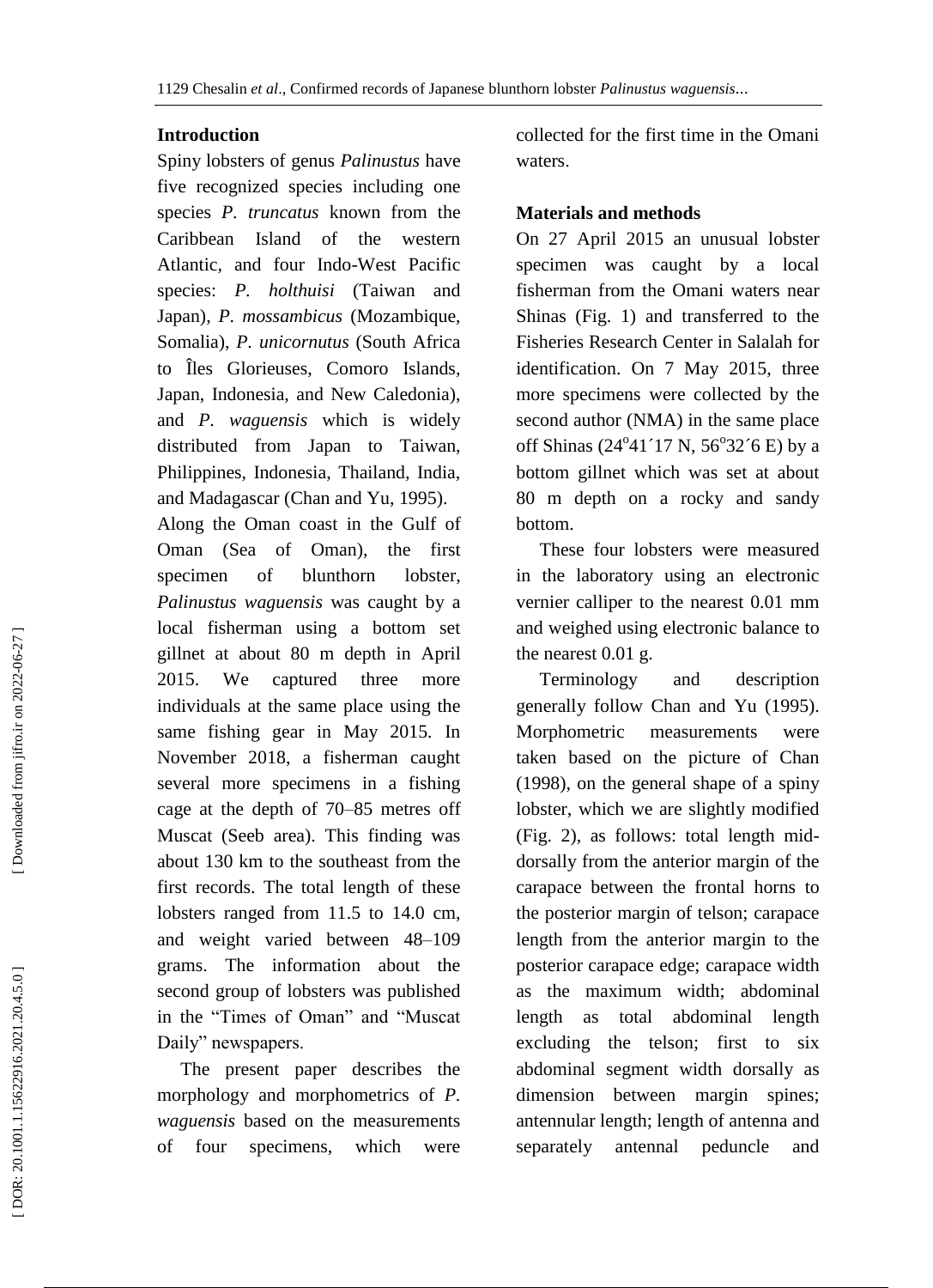## **Introduction**

Spiny lobsters of genus *Palinustus* have five recognized species including one species *P. truncatus* known from the Caribbean Island of the western Atlantic, and four Indo -West Pacific species: *P. holthuisi* (Taiwan and Japan), *P. mossambicus* (Mozambique, Somalia), *P. unicornutus* (South Africa to Îles Glorieuses, Comoro Islands, Japan, Indonesia, and New Caledonia), and *P. waguensis* which is widely distributed from Japan to Taiwan, Philippines, Indonesia, Thailand, India, and Madagascar (Chan and Yu, 1995).

Along the Oman coast in the Gulf of Oman (Sea of Oman), the first specimen of blunthorn lobster, *Palinustus waguensis* was caught by a local fisherman using a bottom set gillnet at about 80 m depth in April 2015. We captured three more individuals at the same place using the same fishing gear in May 2015. In November 2018, a fisherman caught several more specimens in a fishing cage at the depth of 70 –85 metres off Muscat (Seeb area). This finding was about 130 km to the southeast from the first records. The total length of these lobsters ranged from 11.5 to 14.0 cm, and weight varied between 48 –109 grams. The information about the second group of lobsters was published in the "Times of Oman" and "Muscat Daily" newspapers.

 The present paper describes the morphology and morphometrics of *P. waguensis* based on the measurements of four specimens, which were collected for the first time in the Omani waters.

# **Material s and methods**

On 27 April 2015 an unusual lobster specimen was caught by a local fisherman from the Omani waters near Shinas (Fig. 1) and transferred to the Fisheries Research Center in Salalah for identification. On 7 May 2015, three more specimens were collected by the second author (NMA) in the same place off Shinas (24<sup>o</sup>41'17 N, 56<sup>o</sup>32'6 E) by a bottom gillnet which was set at about 80 m depth on a rocky and sandy bottom.

 These four lobsters were measured in the laboratory using an electronic vernier calliper to the nearest 0.01 mm and weighed using electronic balance to the nearest 0.01 g.

 Terminology and description generally follow Chan and Yu (1995). Morphometric measurements were taken based on the picture of Chan (1998), on the general shape of a spiny lobster, which we are slightly modified (Fig. 2), as follows: total length mid dorsally from the anterior margin of the carapace between the frontal horns to the posterior margin of telson; carapace length from the anterior margin to the posterior carapace edge; carapace width as the maximum width; abdominal length as total abdominal length excluding the telson; first to six abdominal segment width dorsally as dimension between margin spines; antennular length; length of antenna and separately antennal peduncle and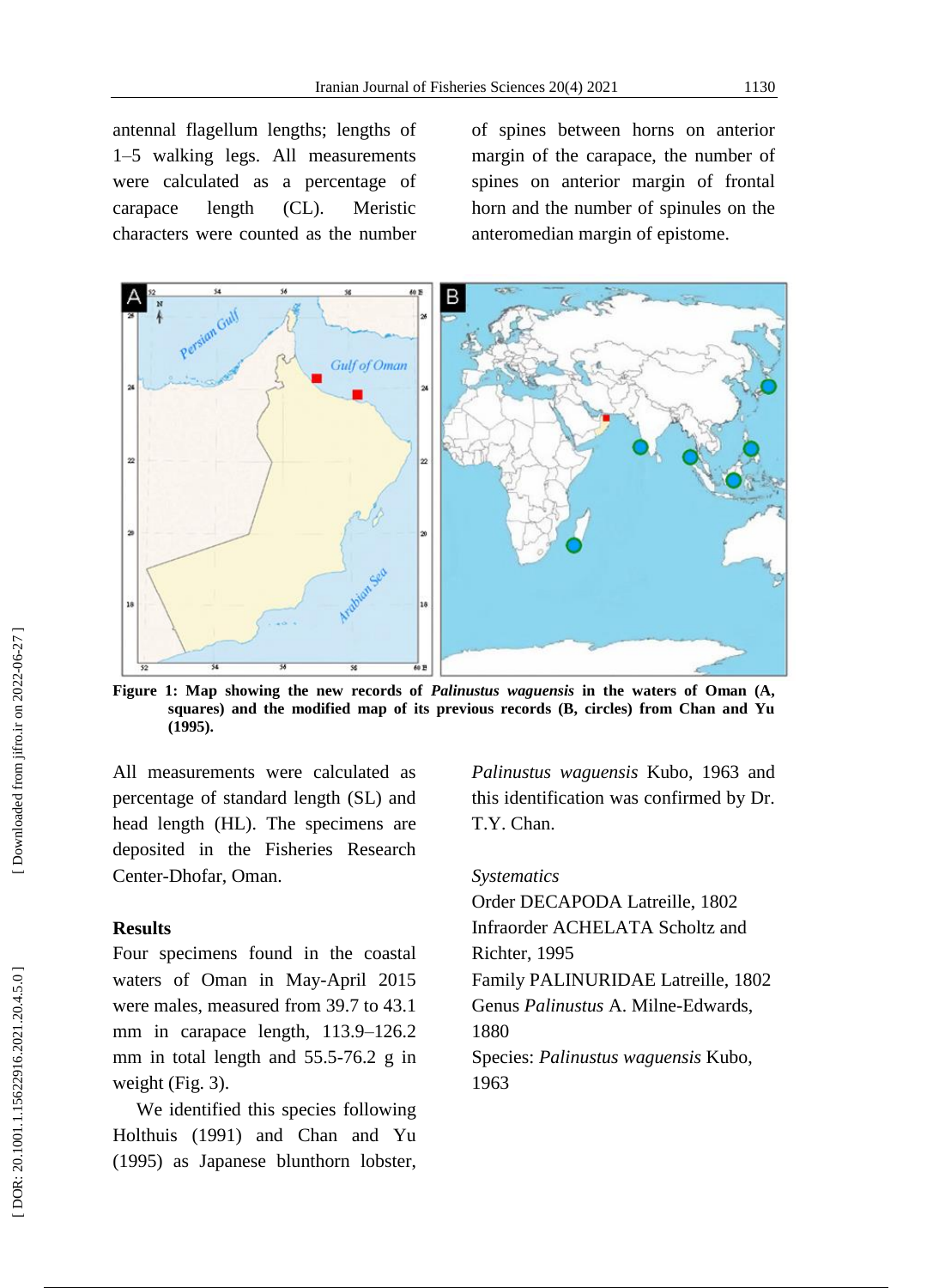antennal flagellum lengths; lengths of 1–5 walking legs. All measurements were calculated as a percentage of carapace length (CL). Meristic characters were counted as the number

of spines between horns on anterior margin of the carapace, the number of spines on anterior margin of frontal horn and the number of spinules on the anteromedian margin of epistome.



**Figure 1: Map showing the new records of** *Palinustus waguensis* **in the waters of Oman (A, squares) and the modified map of its previous records (B, circles) from Chan and Yu (1995).**

All measurements were calculated as percentage of standard length (SL) and head length (HL). The specimens are deposited in the Fisheries Research Center -Dhofar, Oman.

## **Results**

Four specimens found in the coastal waters of Oman in May -April 2015 were males, measured from 39.7 to 43.1 mm in carapace length, 113.9–126.2 mm in total length and 55.5 -76.2 g in weight (Fig. 3).

 We identified this species following Holthuis (1991) and Chan and Yu (1995) as Japanese blunthorn lobster,

*Palinustus waguensis* Kubo, 1963 and this identification was confirmed by Dr. T.Y. Chan.

#### *Systematics*

Order DECAPODA Latreille, 1802 Infraorder ACHELATA Scholtz and Richter, 1995 Family PALINURIDAE Latreille, 1802 Genus *Palinustus* A. Milne -Edwards, 1880 Species: *Palinustus waguensis* Kubo, 1963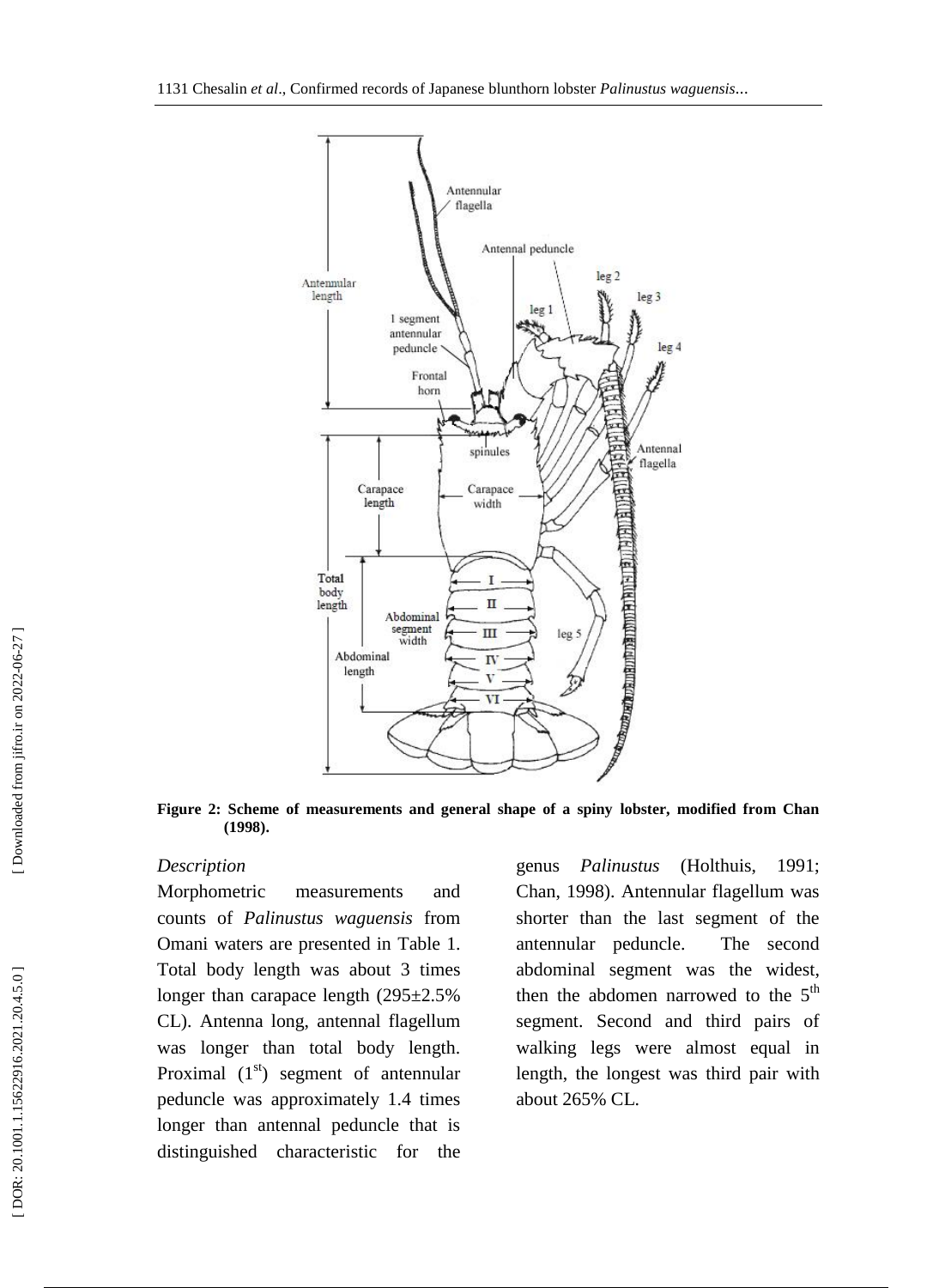1131 Chesalin *et al*., Confirmed records of Japanese blunthorn lobster *Palinustus waguensis*...



**Figure 2: Scheme of measurements and general shape of a spiny lobster, modified from Chan (1998).**

#### *Description*

Morphometric measurements and counts of *Palinustus waguensis* from Omani waters are presented in Table 1. Total body length was about 3 times longer than carapace length (295±2.5% CL). Antenna long, antennal flagellum was longer than total body length. Proximal  $(1<sup>st</sup>)$  segment of antennular peduncle was approximately 1.4 times longer than antennal peduncle that is distinguished characteristic for the genus *Palinustus* (Holthuis, 1991; Chan, 1998). Antennular flagellum was shorter than the last segment of the antennular peduncle. The second abdominal segment was the widest, then the abdomen narrowed to the  $5<sup>th</sup>$ segment. Second and third pairs of walking legs were almost equal in length, the longest was third pair with about 265% CL.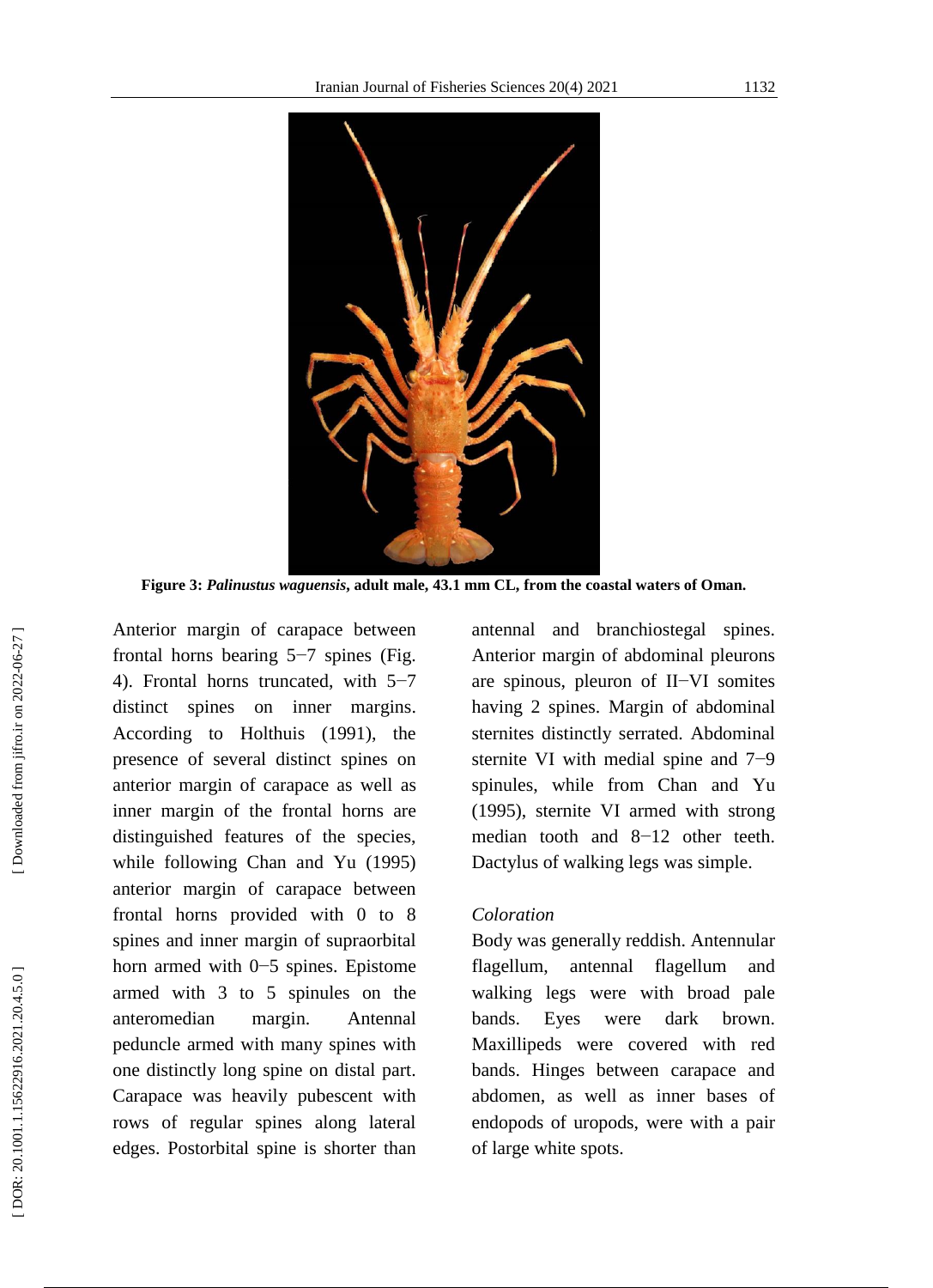

**Figure 3:** *Palinustus waguensis***, adult male, 43.1 mm CL, from the coastal waters of Oman.**

Anterior margin of carapace between frontal horns bearing  $5-7$  spines (Fig. 4). Frontal horns truncated, with 5 −7 distinct spines on inner margins. According to Holthuis (1991), the presence of several distinct spines on anterior margin of carapace as well as inner margin of the frontal horns are distinguished features of the species, while following Chan and Yu (1995) anterior margin of carapace between frontal horns provided with 0 to 8 spines and inner margin of supraorbital horn armed with 0 −5 spines. Epistome armed with 3 to 5 spinules on the anteromedian margin. Antennal peduncle armed with many spines with one distinctly long spine on distal part. Carapace was heavily pubescent with rows of regular spines along lateral edges . Postorbital spine is shorter than antennal and branchiostegal spines. Anterior margin of abdominal pleurons are spinous, pleuron of II-VI somites having 2 spines. Margin of abdominal sternites distinctly serrated. Abdominal sternite VI with medial spine and 7–9 spinules, while from Chan and Yu (1995), sternite VI armed with strong median tooth and 8–12 other teeth. Dactylus of walking legs was simple.

## *Coloration*

Body was generally reddish. Antennular flagellum, antennal flagellum and walking legs were with broad pale bands. Eyes were dark brown. Maxillipeds were covered with red bands. Hinges between carapace and abdomen, as well as inner bases of endopods of uropods, were with a pair of large white spots.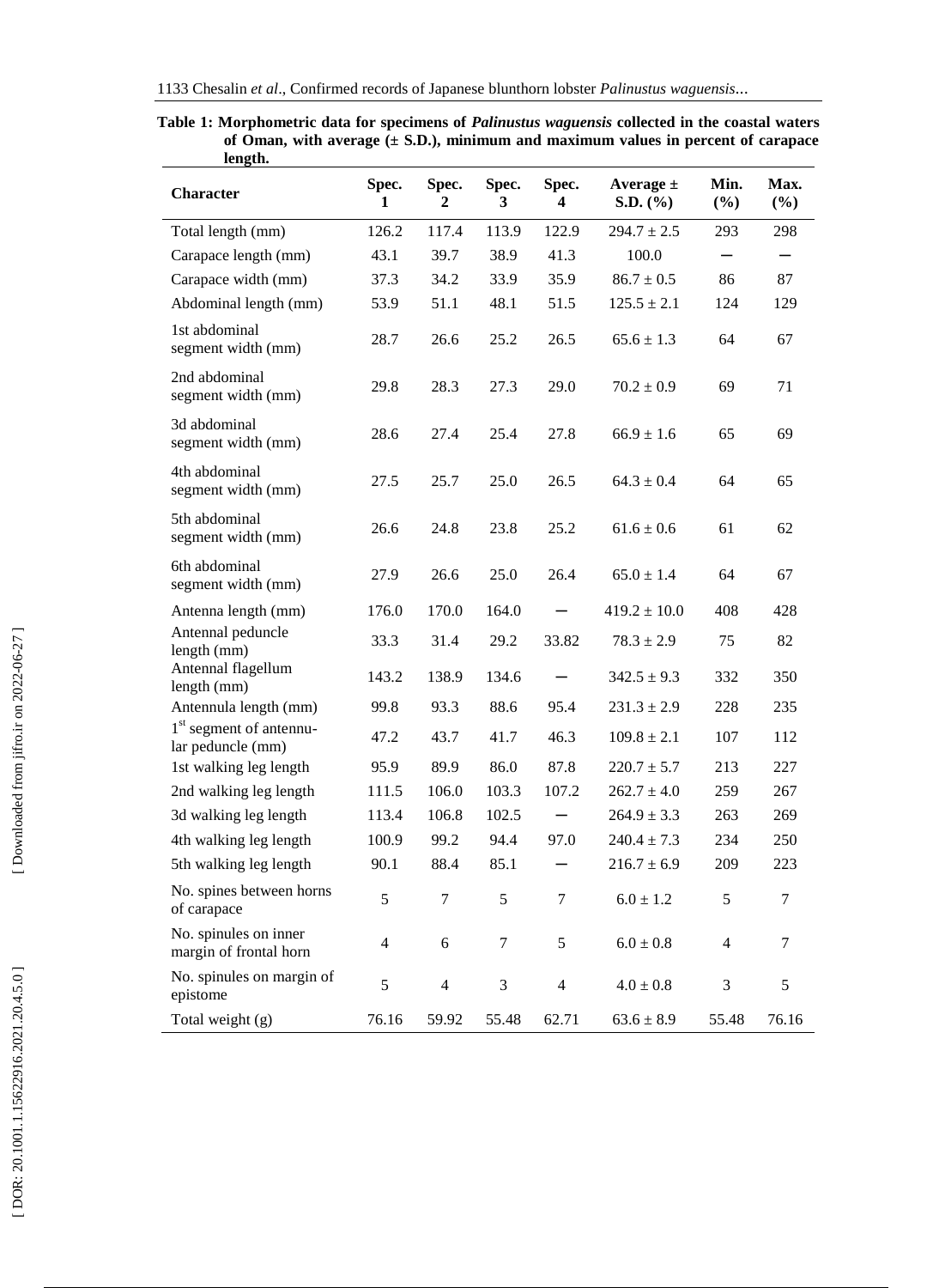**Table 1: Morphometric data for specimens of** *Palinustus waguensis* **collected in the coastal waters of Oman, with average (± S.D.), minimum and maximum values in percent of carapace length.**  $\overline{\phantom{a}}$ 

| <b>Character</b>                                | Spec.<br>1     | Spec.<br>2     | Spec.<br>3 | Spec.<br>4               | Average $\pm$<br>$S.D.$ (%) | Min.<br>$(\%)$ | Max.<br>(%) |
|-------------------------------------------------|----------------|----------------|------------|--------------------------|-----------------------------|----------------|-------------|
| Total length (mm)                               | 126.2          | 117.4          | 113.9      | 122.9                    | $294.7 \pm 2.5$             | 293            | 298         |
| Carapace length (mm)                            | 43.1           | 39.7           | 38.9       | 41.3                     | 100.0                       |                |             |
| Carapace width (mm)                             | 37.3           | 34.2           | 33.9       | 35.9                     | $86.7 \pm 0.5$              | 86             | 87          |
| Abdominal length (mm)                           | 53.9           | 51.1           | 48.1       | 51.5                     | $125.5 \pm 2.1$             | 124            | 129         |
| 1st abdominal<br>segment width (mm)             | 28.7           | 26.6           | 25.2       | 26.5                     | $65.6 \pm 1.3$              | 64             | 67          |
| 2nd abdominal<br>segment width (mm)             | 29.8           | 28.3           | 27.3       | 29.0                     | $70.2 \pm 0.9$              | 69             | 71          |
| 3d abdominal<br>segment width (mm)              | 28.6           | 27.4           | 25.4       | 27.8                     | $66.9 \pm 1.6$              | 65             | 69          |
| 4th abdominal<br>segment width (mm)             | 27.5           | 25.7           | 25.0       | 26.5                     | $64.3 \pm 0.4$              | 64             | 65          |
| 5th abdominal<br>segment width (mm)             | 26.6           | 24.8           | 23.8       | 25.2                     | $61.6 \pm 0.6$              | 61             | 62          |
| 6th abdominal<br>segment width (mm)             | 27.9           | 26.6           | 25.0       | 26.4                     | $65.0 \pm 1.4$              | 64             | 67          |
| Antenna length (mm)                             | 176.0          | 170.0          | 164.0      |                          | $419.2 \pm 10.0$            | 408            | 428         |
| Antennal peduncle<br>length (mm)                | 33.3           | 31.4           | 29.2       | 33.82                    | $78.3 \pm 2.9$              | 75             | 82          |
| Antennal flagellum<br>length (mm)               | 143.2          | 138.9          | 134.6      |                          | $342.5 \pm 9.3$             | 332            | 350         |
| Antennula length (mm)                           | 99.8           | 93.3           | 88.6       | 95.4                     | $231.3 \pm 2.9$             | 228            | 235         |
| $1st$ segment of antennu-<br>lar peduncle (mm)  | 47.2           | 43.7           | 41.7       | 46.3                     | $109.8 \pm 2.1$             | 107            | 112         |
| 1st walking leg length                          | 95.9           | 89.9           | 86.0       | 87.8                     | $220.7 \pm 5.7$             | 213            | 227         |
| 2nd walking leg length                          | 111.5          | 106.0          | 103.3      | 107.2                    | $262.7 \pm 4.0$             | 259            | 267         |
| 3d walking leg length                           | 113.4          | 106.8          | 102.5      | $\qquad \qquad$          | $264.9 \pm 3.3$             | 263            | 269         |
| 4th walking leg length                          | 100.9          | 99.2           | 94.4       | 97.0                     | $240.4 \pm 7.3$             | 234            | 250         |
| 5th walking leg length                          | 90.1           | 88.4           | 85.1       | $\overline{\phantom{0}}$ | $216.7 \pm 6.9$             | 209            | 223         |
| No. spines between horns<br>of carapace         | 5              | 7              | 5          | 7                        | $6.0 \pm 1.2$               | 5              | 7           |
| No. spinules on inner<br>margin of frontal horn | $\overline{4}$ | 6              | 7          | $\mathfrak s$            | $6.0 \pm 0.8$               | 4              | 7           |
| No. spinules on margin of<br>epistome           | 5              | $\overline{4}$ | 3          | $\overline{4}$           | $4.0 \pm 0.8$               | 3              | 5           |
| Total weight (g)                                | 76.16          | 59.92          | 55.48      | 62.71                    | $63.6 \pm 8.9$              | 55.48          | 76.16       |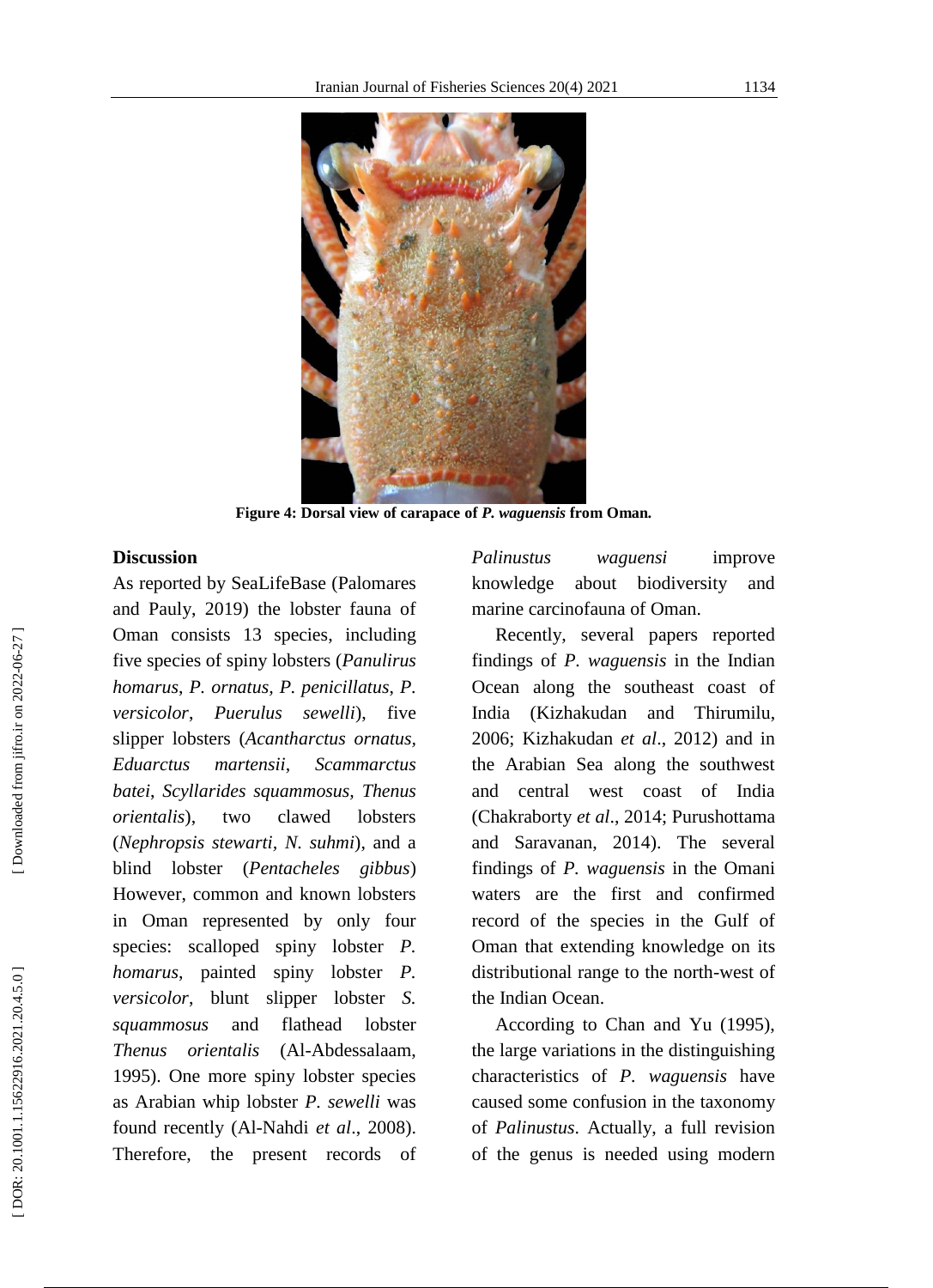

**Figure 4: Dorsal view of carapace of** *P. waguensis* **from Oman** *.*

#### **Discussion**

As reported by SeaLifeBase (Palomares and Pauly, 2019) the lobster fauna of Oman consists 13 species, including five species of spiny lobsters (*Panulirus homarus* , *P. ornatus, P. penicillatus*, *P. versicolor*, *Puerulus sewelli*), five slipper lobsters (*Acantharctus ornatus, Eduarctus martensii*, *Scammarctus batei*, *Scyllarides squammosus, Thenus orientalis*), two clawed lobsters (*Nephropsis stewarti, N. suhmi*), and a blind lobster (*Pentacheles gibbus*) However, common and known lobsters in Oman represented by only four species: scalloped spiny lobster *P*. *homarus*, painted spiny lobster *P. versicolor* , blunt slipper lobster *S. squammosus* and flathead lobster *Thenus orientalis* (Al -Abdessalaam, 1995). One more spiny lobster species as Arabian whip lobster *P. sewelli* was found recently (Al -Nahdi *et al*., 2008). Therefore, the present records of

*Palinustus waguensi* improve knowledge about biodiversity and marine carcinofauna of Oman.

 Recently, several papers reported findings of *P. waguensis* in the Indian Ocean along the southeast coast of India (Kizhakudan and Thirumilu, 2006; Kizhakudan *et al*., 2012) and in the Arabian Sea along the southwest and central west coast of India (Chakraborty *et al*., 2014; Purushottama and Saravanan, 2014). The several findings of *P. waguensis* in the Omani waters are the first and confirmed record of the species in the Gulf of Oman that extending knowledge on its distributional range to the north -west of the Indian Ocean.

 According to Chan and Yu (1995), the large variations in the distinguishing characteristics of *P. waguensis* have caused some confusion in the taxonomy of *Palinustus*. Actually, a full revision of the genus is needed using modern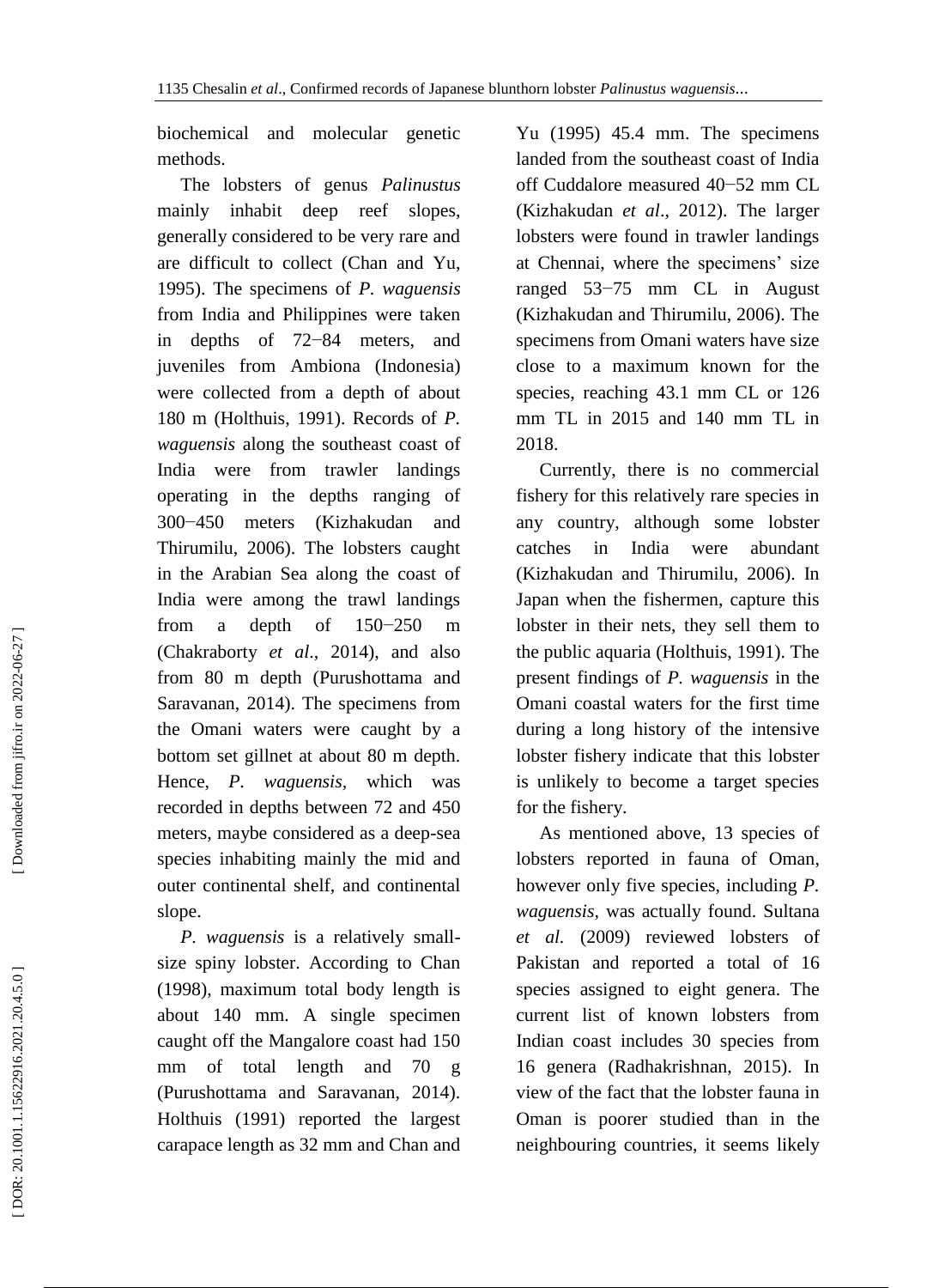biochemical and molecular genetic methods.

 The lobsters of genus *Palinustus*  mainly inhabit deep reef slopes, generally considered to be very rare and are difficult to collect (Chan and Yu, 1995). The specimens of *P. waguensis* from India and Philippines were taken in depths of 72 −84 meters, and juveniles from Ambiona (Indonesia) were collected from a depth of about 180 m (Holthuis, 1991). Records of *P. waguensis* along the southeast coast of India were from trawler landings operating in the depths ranging of 300-450 meters −450 meters (Kizhakudan and Thirumilu, 2006). The lobsters caught in the Arabian Sea along the coast of India were among the trawl landings from a depth of 150–250 m (Chakraborty *et al*., 2014), and also from 80 m depth (Purushottama and Saravanan, 2014). The specimens from the Omani waters were caught by a bottom set gillnet at about 80 m depth. Hence, *P. waguensis,* which was recorded in depths between 72 and 450 meters, maybe considered as a deep -sea species inhabiting mainly the mid and outer continental shelf, and continental slope.

 *P. waguensis* is a relatively small size spiny lobster. According to Chan (1998), maximum total body length is about 140 mm. A single specimen caught off the Mangalore coast had 150 mm of total length and 70 g (Purushottama and Saravanan, 2014). Holthuis (1991) reported the largest carapace length as 32 mm and Chan and Yu (1995) 45.4 mm. The specimens landed from the southeast coast of India off Cuddalore measured 40 −52 mm CL (Kizhakudan *et al*., 2012). The larger lobsters were found in trawler landings at Chennai, where the specimens' size ranged 53 −75 mm CL in August (Kizhakudan and Thirumilu, 2006). The specimens from Omani waters have size close to a maximum known for the species, reaching 43.1 mm CL or 126 mm TL in 2015 and 140 mm TL in 2018.

 Currently, there is no commercial fishery for this relatively rare species in any country, although some lobster catches in India were abundant (Kizhakudan and Thirumilu, 2006). In Japan when the fishermen, capture this lobster in their nets, they sell them to the public aquaria (Holthuis, 1991). The present findings of *P. waguensis* in the Omani coastal waters for the first time during a long history of the intensive lobster fishery indicate that this lobster is unlikely to become a target species for the fishery.

 As mentioned above, 13 species of lobsters reported in fauna of Oman, however only five species, including *P. waguensis,* was actually found. Sultana *et al.* (2009) reviewed lobsters of Pakistan and reported a total of 16 species assigned to eight genera. The current list of known lobsters from Indian coast includes 30 species from 16 genera (Radhakrishnan, 2015). In view of the fact that the lobster fauna in Oman is poorer studied than in the neighbouring countries, it seems likely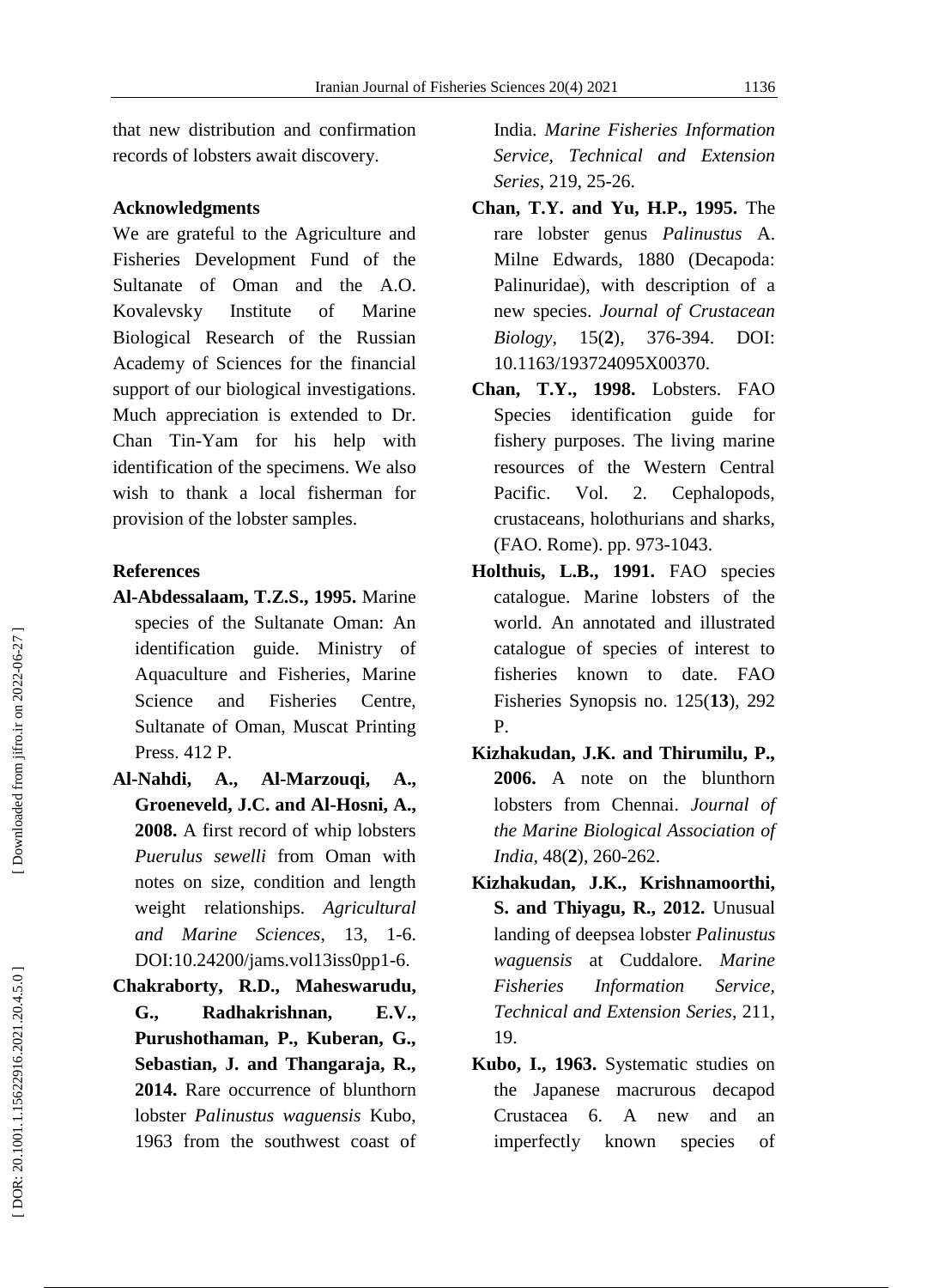that new distribution and confirmation records of lobsters await discovery.

#### **Acknowledgments**

We are grateful to the Agriculture and Fisheries Development Fund of the Sultanate of Oman and the A.O. Kovalevsky Institute of Marine Biological Research of the Russian Academy of Sciences for the financial support of our biological investigations. Much appreciation is extended to Dr. Chan Tin -Yam for his help with identification of the specimens. We also wish to thank a local fisherman for provision of the lobster samples.

# **References**

- **Al -Abdessalaam, T.Z.S., 1995.** Marine species of the Sultanate Oman: An identification guide. Ministry of Aquaculture and Fisheries, Marine Science and Fisheries Centre, Sultanate of Oman, Muscat Printing Press . 412 P.
- **Al -Nahdi, A., Al -Marzouqi, A., Groeneveld, J.C. and Al -Hosni, A., 2008.** A first record of whip lobsters *Puerulus sewelli* from Oman with notes on size, condition and length weight relationships. *Agricultural and Marine Sciences*, 13, 1 -6. DOI :10.24200/jams.vol13iss0pp1 -6.
- **Chakraborty, R.D., Maheswarudu, G., Radhakrishnan, E.V., Purushothaman, P., Kuberan, G., Sebastian, J. and Thangaraja, R., 2014.** Rare occurrence of blunthorn lobster *Palinustus waguensis* Kubo, 1963 from the southwest coast of

India. *Marine Fisheries Information Service, Technical and Extension Series*, 219, 25 -26.

- **Chan, T.Y. and Yu, H.P., 1995.** The rare lobster genus *Palinustus* A. Milne Edwards, 1880 (Decapoda: Palinuridae), with description of a new species. *Journal of Crustacean Biology*, 15( **2**), 376 -394. DOI: 10.1163/193724095X00370.
- **Chan, T.Y., 1998.** Lobsters. FAO Species identification guide for fishery purposes. The living marine resources of the Western Central Pacific. Vol. 2. Cephalopods, crustaceans, holothurians and sharks, (FAO. Rome ). pp. 973 -1043.
- **Holthuis, L.B., 1991.** FAO species catalogue. Marine lobsters of the world. An annotated and illustrated catalogue of species of interest to fisheries known to date. FAO Fisheries Synopsis no. 125(**13**), 292 P.
- **Kizhakudan, J.K. and Thirumilu, P., 2006.** A note on the blunthorn lobsters from Chennai. *Journal of the Marine Biological Association of India* , 48( **2**), 260 -262.
- **Kizhakudan, J.K., Krishnamoorthi, S. and Thiyagu, R., 2012.** Unusual landing of deepsea lobster *Palinustus waguensis* at Cuddalore. *Marine Fisheries Information Service, Technical and Extension Series*, 211, 19.
- **Kubo, I., 1963.** Systematic studies on the Japanese macrurous decapod Crustacea 6. A new and an imperfectly known species of